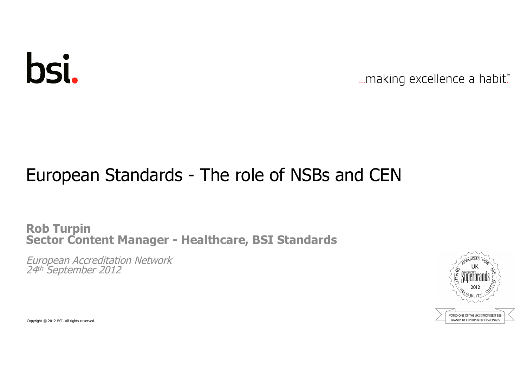## bsi.

... making excellence a habit.™

#### European Standards - The role of NSBs and CEN

**Rob Turpin Sector Content Manager - Healthcare, BSI Standards**

*European Accreditation Network 24 th September 2012*

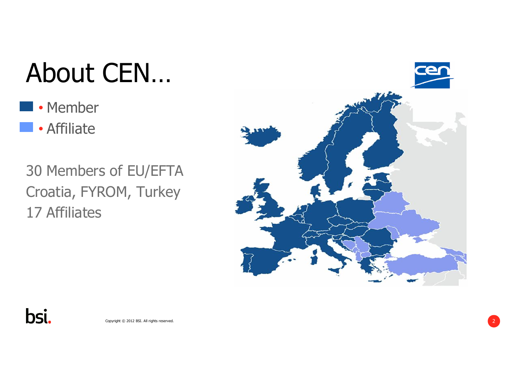## About CEN…

- Member
- Affiliate

30 Members of EU/EFTA Croatia, FYROM, Turkey 17 Affiliates





 $\log$  Copyright  $\odot$  2012 BSI. All rights reserved.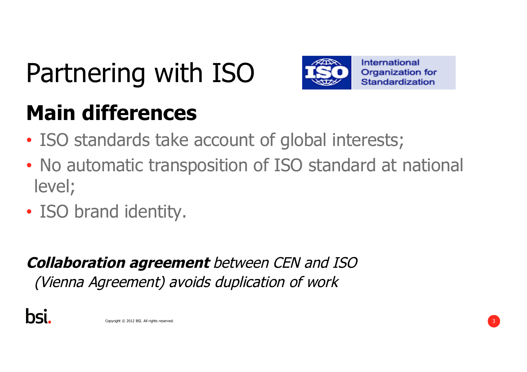## Partnering with ISO



#### **Main differences**

- ISO standards take account of global interests;
- No automatic transposition of ISO standard at national level;
- ISO brand identity.

*Collaboration agreement between CEN and ISO (Vienna Agreement) avoids duplication of work*

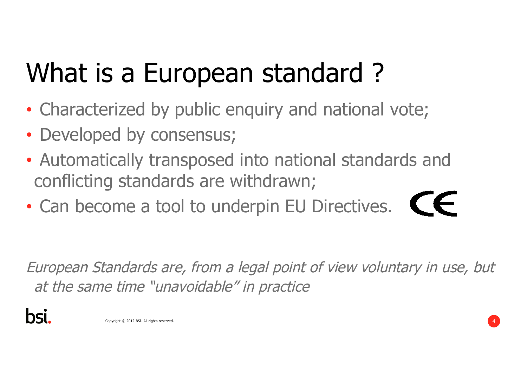## What is a European standard ?

- Characterized by public enquiry and national vote;
- Developed by consensus;
- Automatically transposed into national standards and conflicting standards are withdrawn;
- Can become a tool to underpin EU Directives.  $\epsilon$

*European Standards are, from a legal point of view voluntary in use, but at the same time "unavoidable" in practice*

bsi.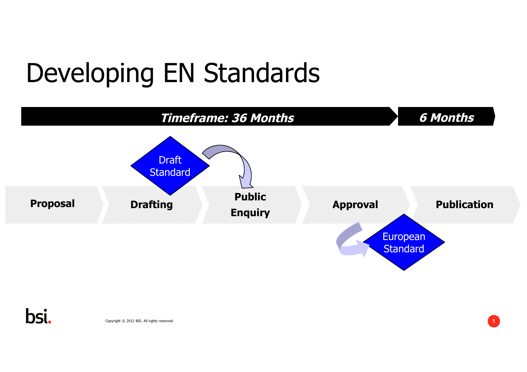## Developing EN Standards

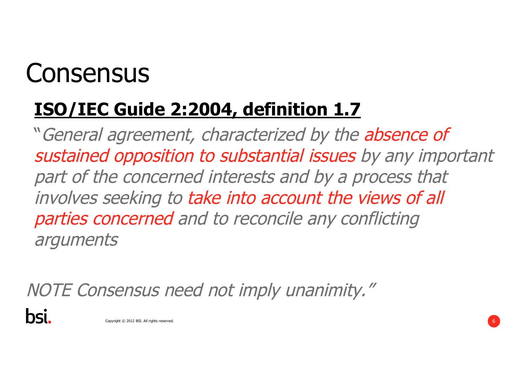## Consensus

#### **ISO/IEC Guide 2:2004, definition 1.7**

"*General agreement, characterized by the absence of sustained opposition to substantial issues by any important*  part of the concerned interests and by a process that *involves seeking to take into account the views of all parties concerned and to reconcile any conflicting arguments*

*NOTE Consensus need not imply unanimity."*

bsi.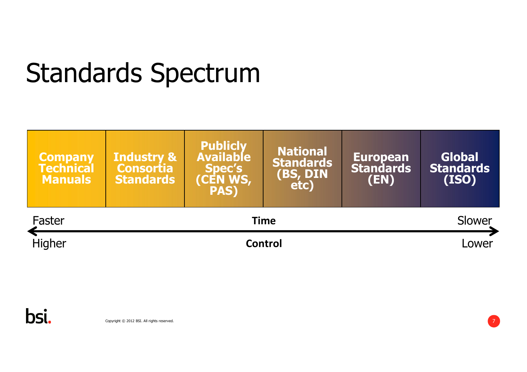## Standards Spectrum



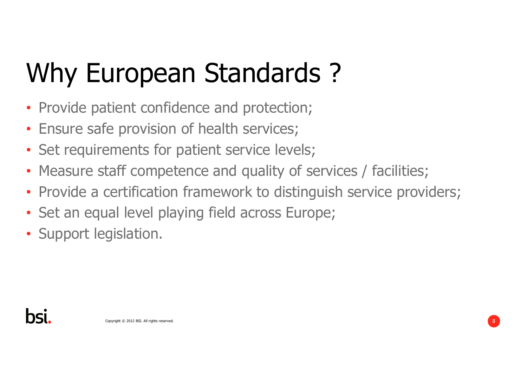## Why European Standards ?

- Provide patient confidence and protection;
- Ensure safe provision of health services;
- Set requirements for patient service levels;
- Measure staff competence and quality of services / facilities;
- Provide a certification framework to distinguish service providers;
- Set an equal level playing field across Europe;
- Support legislation.

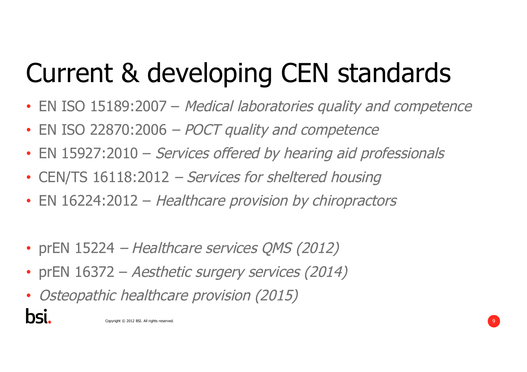## Current & developing CEN standards

- EN ISO 15189:2007 *Medical laboratories quality and competence*
- EN ISO 22870:2006 *– POCT quality and competence*
- EN 15927:2010 *Services offered by hearing aid professionals*
- CEN/TS 16118:2012 *– Services for sheltered housing*
- EN 16224:2012 *Healthcare provision by chiropractors*
- prEN 15224 *– Healthcare services QMS (2012)*
- prEN 16372 *Aesthetic surgery services (2014)*
- *Osteopathic healthcare provision (2015)*

bsi.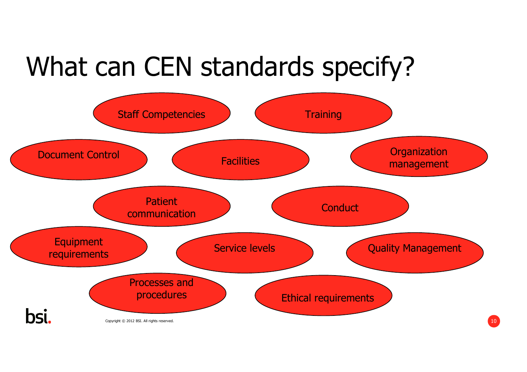## What can CEN standards specify?

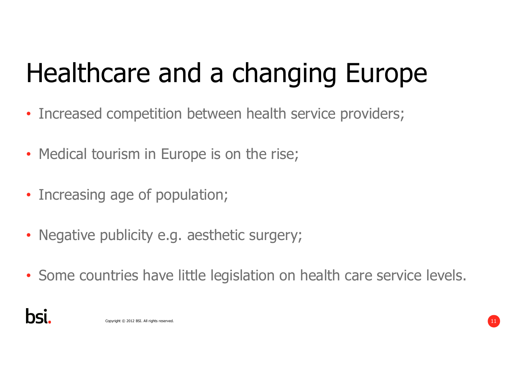## Healthcare and a changing Europe

- Increased competition between health service providers;
- Medical tourism in Europe is on the rise;
- Increasing age of population;
- Negative publicity e.g. aesthetic surgery;
- Some countries have little legislation on health care service levels.

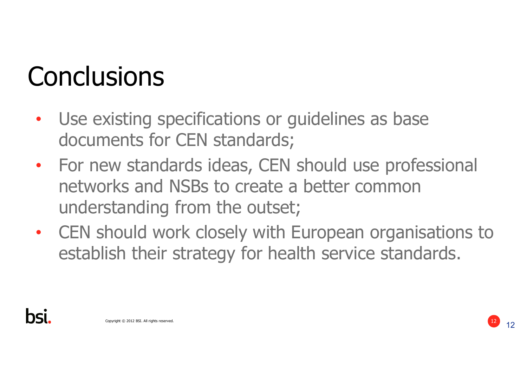## Conclusions

- Use existing specifications or guidelines as base documents for CEN standards;
- For new standards ideas, CEN should use professional networks and NSBs to create a better common understanding from the outset;
- CEN should work closely with European organisations to establish their strategy for health service standards.